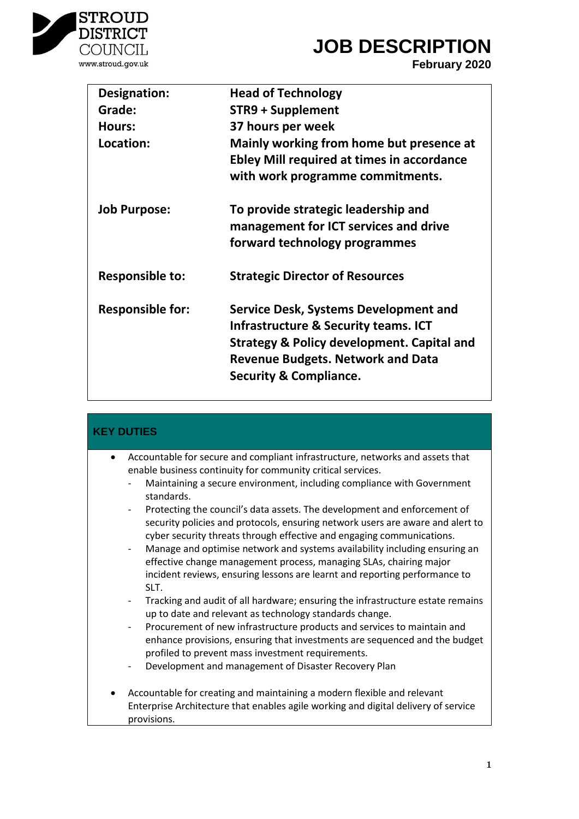

### **JOB DESCRIPTION**

**February 2020**

| <b>Designation:</b>     | <b>Head of Technology</b>                                                                                                                                                                                                          |
|-------------------------|------------------------------------------------------------------------------------------------------------------------------------------------------------------------------------------------------------------------------------|
| Grade:                  | <b>STR9 + Supplement</b>                                                                                                                                                                                                           |
| Hours:                  | 37 hours per week                                                                                                                                                                                                                  |
| Location:               | Mainly working from home but presence at<br><b>Ebley Mill required at times in accordance</b><br>with work programme commitments.                                                                                                  |
| <b>Job Purpose:</b>     | To provide strategic leadership and<br>management for ICT services and drive<br>forward technology programmes                                                                                                                      |
| <b>Responsible to:</b>  | <b>Strategic Director of Resources</b>                                                                                                                                                                                             |
| <b>Responsible for:</b> | Service Desk, Systems Development and<br><b>Infrastructure &amp; Security teams. ICT</b><br><b>Strategy &amp; Policy development. Capital and</b><br><b>Revenue Budgets. Network and Data</b><br><b>Security &amp; Compliance.</b> |

| <b>KEY DUTIES</b>                                                                                                                                                                                                                                                                                                                                                                                                                                                                                                                                                                                                                                                                                                                                              |  |
|----------------------------------------------------------------------------------------------------------------------------------------------------------------------------------------------------------------------------------------------------------------------------------------------------------------------------------------------------------------------------------------------------------------------------------------------------------------------------------------------------------------------------------------------------------------------------------------------------------------------------------------------------------------------------------------------------------------------------------------------------------------|--|
| Accountable for secure and compliant infrastructure, networks and assets that<br>$\bullet$<br>enable business continuity for community critical services.<br>Maintaining a secure environment, including compliance with Government<br>standards.<br>Protecting the council's data assets. The development and enforcement of<br>$\overline{\phantom{a}}$<br>security policies and protocols, ensuring network users are aware and alert to<br>cyber security threats through effective and engaging communications.<br>Manage and optimise network and systems availability including ensuring an<br>effective change management process, managing SLAs, chairing major<br>incident reviews, ensuring lessons are learnt and reporting performance to<br>SLT. |  |
| Tracking and audit of all hardware; ensuring the infrastructure estate remains<br>$\overline{\phantom{0}}$<br>up to date and relevant as technology standards change.<br>Procurement of new infrastructure products and services to maintain and<br>$\overline{\phantom{a}}$<br>enhance provisions, ensuring that investments are sequenced and the budget<br>profiled to prevent mass investment requirements.<br>Development and management of Disaster Recovery Plan<br>$\overline{\phantom{a}}$                                                                                                                                                                                                                                                            |  |
| Accountable for creating and maintaining a modern flexible and relevant<br>Enterprise Architecture that enables agile working and digital delivery of service<br>provisions.                                                                                                                                                                                                                                                                                                                                                                                                                                                                                                                                                                                   |  |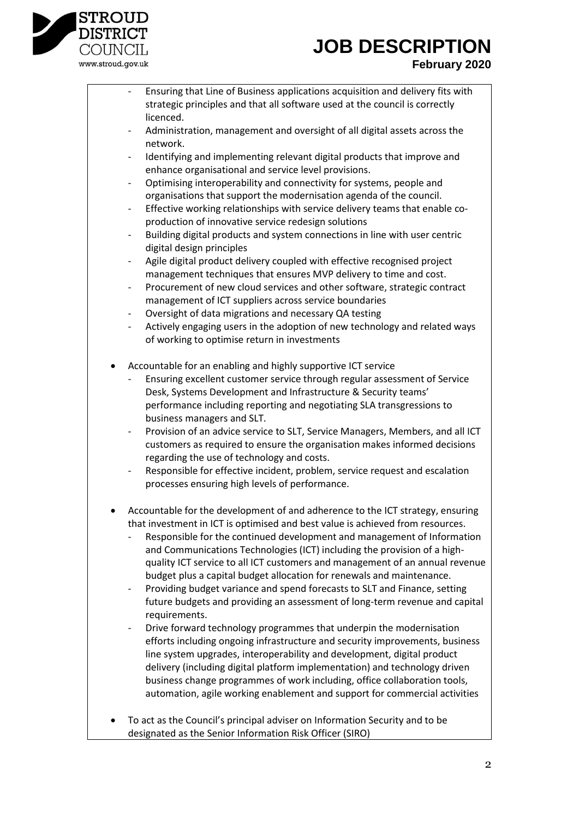

# **JOB DESCRIPTION**

### **February 2020**

- Ensuring that Line of Business applications acquisition and delivery fits with strategic principles and that all software used at the council is correctly licenced.
- Administration, management and oversight of all digital assets across the network.
- Identifying and implementing relevant digital products that improve and enhance organisational and service level provisions.
- Optimising interoperability and connectivity for systems, people and organisations that support the modernisation agenda of the council.
- Effective working relationships with service delivery teams that enable coproduction of innovative service redesign solutions
- Building digital products and system connections in line with user centric digital design principles
- Agile digital product delivery coupled with effective recognised project management techniques that ensures MVP delivery to time and cost.
- Procurement of new cloud services and other software, strategic contract management of ICT suppliers across service boundaries
- Oversight of data migrations and necessary QA testing
- Actively engaging users in the adoption of new technology and related ways of working to optimise return in investments
- Accountable for an enabling and highly supportive ICT service
	- Ensuring excellent customer service through regular assessment of Service Desk, Systems Development and Infrastructure & Security teams' performance including reporting and negotiating SLA transgressions to business managers and SLT.
	- Provision of an advice service to SLT, Service Managers, Members, and all ICT customers as required to ensure the organisation makes informed decisions regarding the use of technology and costs.
	- Responsible for effective incident, problem, service request and escalation processes ensuring high levels of performance.
- Accountable for the development of and adherence to the ICT strategy, ensuring that investment in ICT is optimised and best value is achieved from resources.
	- Responsible for the continued development and management of Information and Communications Technologies (ICT) including the provision of a highquality ICT service to all ICT customers and management of an annual revenue budget plus a capital budget allocation for renewals and maintenance.
	- Providing budget variance and spend forecasts to SLT and Finance, setting future budgets and providing an assessment of long-term revenue and capital requirements.
	- Drive forward technology programmes that underpin the modernisation efforts including ongoing infrastructure and security improvements, business line system upgrades, interoperability and development, digital product delivery (including digital platform implementation) and technology driven business change programmes of work including, office collaboration tools, automation, agile working enablement and support for commercial activities
- To act as the Council's principal adviser on Information Security and to be designated as the Senior Information Risk Officer (SIRO)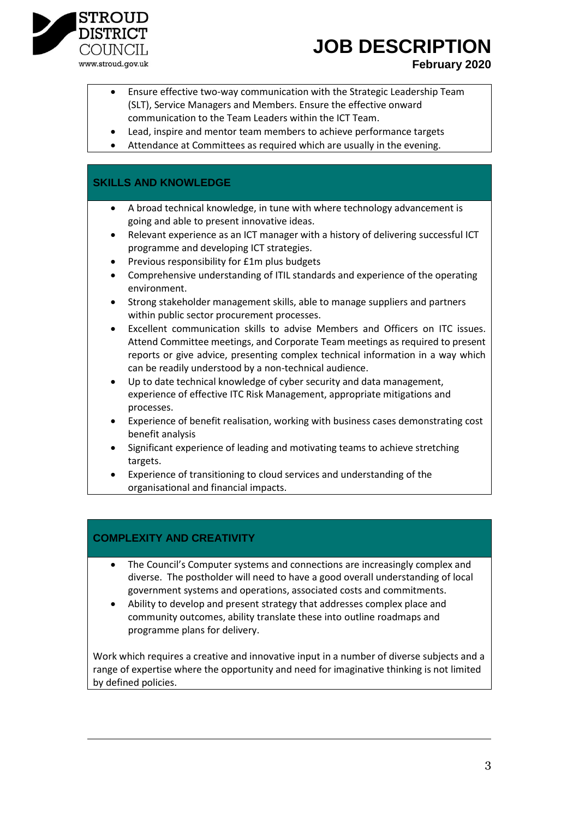

www.stroud.gov.uk

### **JOB DESCRIPTION**

### **February 2020**

- Ensure effective two-way communication with the Strategic Leadership Team (SLT), Service Managers and Members. Ensure the effective onward communication to the Team Leaders within the ICT Team.
- Lead, inspire and mentor team members to achieve performance targets
- Attendance at Committees as required which are usually in the evening.

### **SKILLS AND KNOWLEDGE**

- A broad technical knowledge, in tune with where technology advancement is going and able to present innovative ideas.
- Relevant experience as an ICT manager with a history of delivering successful ICT programme and developing ICT strategies.
- Previous responsibility for £1m plus budgets
- Comprehensive understanding of ITIL standards and experience of the operating environment.
- Strong stakeholder management skills, able to manage suppliers and partners within public sector procurement processes.
- Excellent communication skills to advise Members and Officers on ITC issues. Attend Committee meetings, and Corporate Team meetings as required to present reports or give advice, presenting complex technical information in a way which can be readily understood by a non-technical audience.
- Up to date technical knowledge of cyber security and data management, experience of effective ITC Risk Management, appropriate mitigations and processes.
- Experience of benefit realisation, working with business cases demonstrating cost benefit analysis
- Significant experience of leading and motivating teams to achieve stretching targets.
- Experience of transitioning to cloud services and understanding of the organisational and financial impacts.

### **COMPLEXITY AND CREATIVITY**

- The Council's Computer systems and connections are increasingly complex and diverse. The postholder will need to have a good overall understanding of local government systems and operations, associated costs and commitments.
- Ability to develop and present strategy that addresses complex place and community outcomes, ability translate these into outline roadmaps and programme plans for delivery.

Work which requires a creative and innovative input in a number of diverse subjects and a range of expertise where the opportunity and need for imaginative thinking is not limited by defined policies.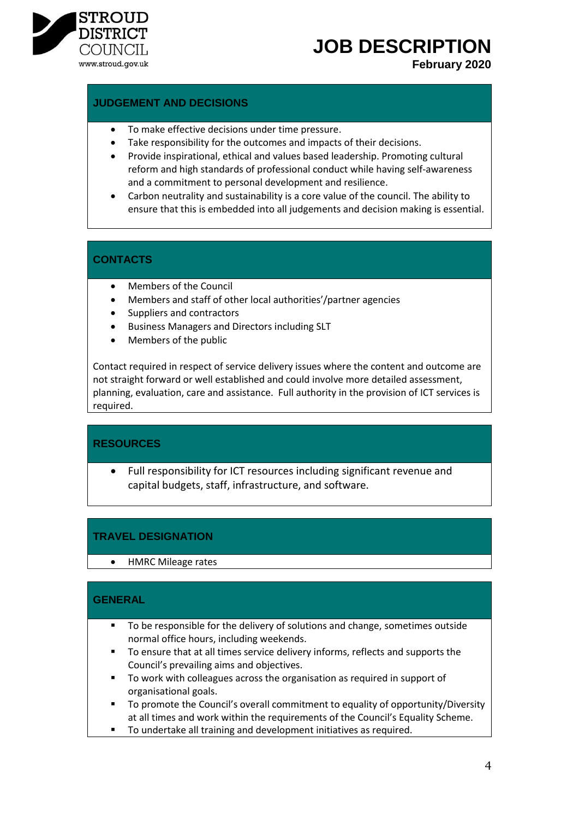

## **JOB DESCRIPTION**

**February 2020**

#### **JUDGEMENT AND DECISIONS**

- To make effective decisions under time pressure.
- Take responsibility for the outcomes and impacts of their decisions.
- Provide inspirational, ethical and values based leadership. Promoting cultural reform and high standards of professional conduct while having self-awareness and a commitment to personal development and resilience.
- Carbon neutrality and sustainability is a core value of the council. The ability to ensure that this is embedded into all judgements and decision making is essential.

### **CONTACTS**

- Members of the Council
- Members and staff of other local authorities'/partner agencies
- Suppliers and contractors
- Business Managers and Directors including SLT
- Members of the public

Contact required in respect of service delivery issues where the content and outcome are not straight forward or well established and could involve more detailed assessment, planning, evaluation, care and assistance. Full authority in the provision of ICT services is required.

#### **RESOURCES**

 Full responsibility for ICT resources including significant revenue and capital budgets, staff, infrastructure, and software.

### **TRAVEL DESIGNATION**

HMRC Mileage rates

#### **GENERAL**

- To be responsible for the delivery of solutions and change, sometimes outside normal office hours, including weekends.
- To ensure that at all times service delivery informs, reflects and supports the Council's prevailing aims and objectives.
- To work with colleagues across the organisation as required in support of organisational goals.
- To promote the Council's overall commitment to equality of opportunity/Diversity at all times and work within the requirements of the Council's Equality Scheme.
- **To undertake all training and development initiatives as required.**